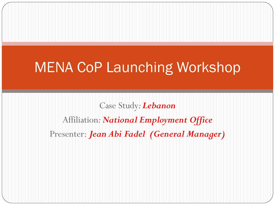#### MENA CoP Launching Workshop

Case Study*: Lebanon* Affiliation*: National Employment Office* Presenter: *Jean Abi Fadel (General Manager)*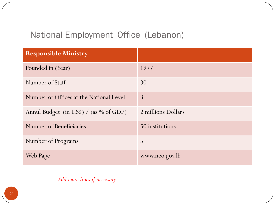#### National Employment Office (Lebanon)

| <b>Responsible Ministry</b>               |                    |
|-------------------------------------------|--------------------|
| Founded in (Year)                         | 1977               |
| Number of Staff                           | 30                 |
| Number of Offices at the National Level   | $\overline{3}$     |
| Annul Budget (in US\$) / (as $\%$ of GDP) | 2 millions Dollars |
| Number of Beneficiaries                   | 50 institutions    |
| Number of Programs                        | 5                  |
| <b>Web Page</b>                           | www.neo.gov.lb     |

*Add more lines if necessary*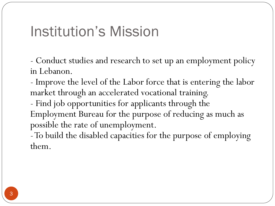#### Institution's Mission

- Conduct studies and research to set up an employment policy in Lebanon.

- Improve the level of the Labor force that is entering the labor market through an accelerated vocational training.

- Find job opportunities for applicants through the Employment Bureau for the purpose of reducing as much as possible the rate of unemployment.

-To build the disabled capacities for the purpose of employing them.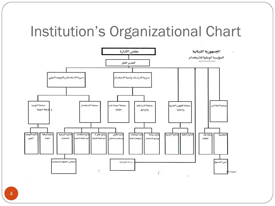## Institution's Organizational Chart

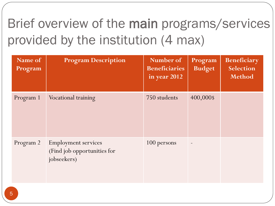## Brief overview of the main programs/services provided by the institution (4 max)

| Name of<br>Program | <b>Program Description</b>                                               | Number of<br><b>Beneficiaries</b><br>in year 2012 | Program<br><b>Budget</b> | Beneficiary<br>Selection<br>Method |
|--------------------|--------------------------------------------------------------------------|---------------------------------------------------|--------------------------|------------------------------------|
| Program 1          | Vocational training                                                      | 750 students                                      | 400,000\$                |                                    |
| Program 2          | <b>Employment services</b><br>(Find job opportunities for<br>jobseekers) | 100 persons                                       |                          |                                    |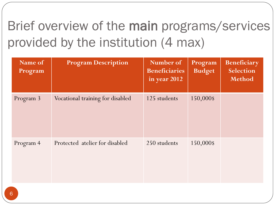## Brief overview of the main programs/services provided by the institution (4 max)

| Name of<br>Program | <b>Program Description</b>       | Number of<br><b>Beneficiaries</b><br>in year 2012 | Program<br><b>Budget</b> | Beneficiary<br>Selection<br>Method |
|--------------------|----------------------------------|---------------------------------------------------|--------------------------|------------------------------------|
| Program 3          | Vocational training for disabled | 125 students                                      | 150,000\$                |                                    |
| Program 4          | Protected atelier for disabled   | 250 students                                      | 150,000\$                |                                    |